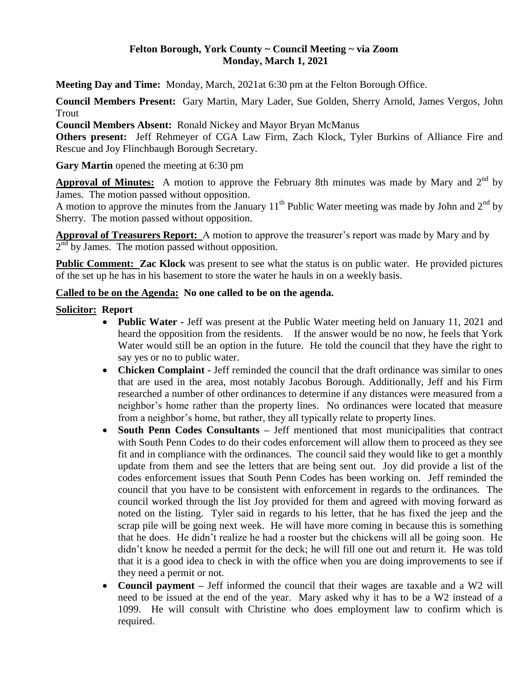### **Felton Borough, York County ~ Council Meeting ~ via Zoom Monday, March 1, 2021**

**Meeting Day and Time:** Monday, March, 2021at 6:30 pm at the Felton Borough Office.

**Council Members Present:** Gary Martin, Mary Lader, Sue Golden, Sherry Arnold, James Vergos, John Trout

**Council Members Absent:** Ronald Nickey and Mayor Bryan McManus

**Others present:** Jeff Rehmeyer of CGA Law Firm, Zach Klock, Tyler Burkins of Alliance Fire and Rescue and Joy Flinchbaugh Borough Secretary.

**Gary Martin** opened the meeting at 6:30 pm

**Approval of Minutes:** A motion to approve the February 8th minutes was made by Mary and 2<sup>nd</sup> by James. The motion passed without opposition.

A motion to approve the minutes from the January 11<sup>th</sup> Public Water meeting was made by John and  $2<sup>nd</sup>$  by Sherry. The motion passed without opposition.

**Approval of Treasurers Report:** A motion to approve the treasurer's report was made by Mary and by  $2<sup>nd</sup>$  by James. The motion passed without opposition.

**Public Comment: Zac Klock** was present to see what the status is on public water. He provided pictures of the set up he has in his basement to store the water he hauls in on a weekly basis.

### **Called to be on the Agenda: No one called to be on the agenda.**

### **Solicitor: Report**

- **Public Water -** Jeff was present at the Public Water meeting held on January 11, 2021 and heard the opposition from the residents. If the answer would be no now, he feels that York Water would still be an option in the future. He told the council that they have the right to say yes or no to public water.
- Chicken Complaint **-** Jeff reminded the council that the draft ordinance was similar to ones that are used in the area, most notably Jacobus Borough. Additionally, Jeff and his Firm researched a number of other ordinances to determine if any distances were measured from a neighbor's home rather than the property lines. No ordinances were located that measure from a neighbor's home, but rather, they all typically relate to property lines.
- **South Penn Codes Consultants** Jeff mentioned that most municipalities that contract with South Penn Codes to do their codes enforcement will allow them to proceed as they see fit and in compliance with the ordinances. The council said they would like to get a monthly update from them and see the letters that are being sent out. Joy did provide a list of the codes enforcement issues that South Penn Codes has been working on. Jeff reminded the council that you have to be consistent with enforcement in regards to the ordinances. The council worked through the list Joy provided for them and agreed with moving forward as noted on the listing. Tyler said in regards to his letter, that he has fixed the jeep and the scrap pile will be going next week. He will have more coming in because this is something that he does. He didn't realize he had a rooster but the chickens will all be going soon. He didn't know he needed a permit for the deck; he will fill one out and return it. He was told that it is a good idea to check in with the office when you are doing improvements to see if they need a permit or not.
- **Council payment** Jeff informed the council that their wages are taxable and a W2 will need to be issued at the end of the year. Mary asked why it has to be a W2 instead of a 1099. He will consult with Christine who does employment law to confirm which is required.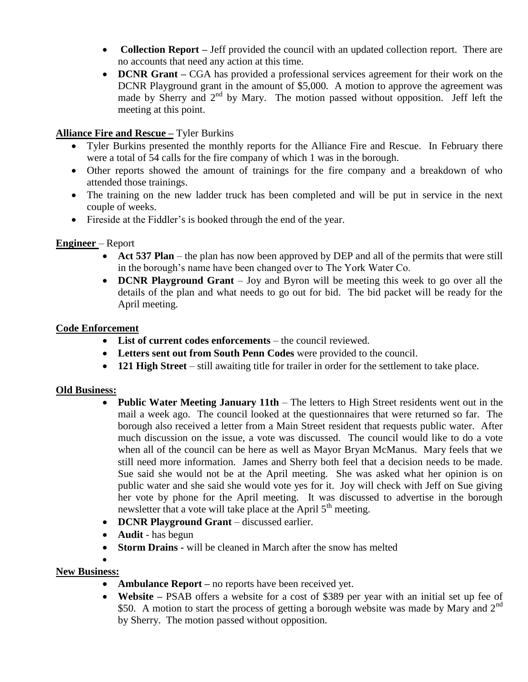- **Collection Report** Jeff provided the council with an updated collection report. There are no accounts that need any action at this time.
- **DCNR Grant** CGA has provided a professional services agreement for their work on the DCNR Playground grant in the amount of \$5,000. A motion to approve the agreement was made by Sherry and 2<sup>nd</sup> by Mary. The motion passed without opposition. Jeff left the meeting at this point.

### **Alliance Fire and Rescue –** Tyler Burkins

- Tyler Burkins presented the monthly reports for the Alliance Fire and Rescue. In February there were a total of 54 calls for the fire company of which 1 was in the borough.
- Other reports showed the amount of trainings for the fire company and a breakdown of who attended those trainings.
- The training on the new ladder truck has been completed and will be put in service in the next couple of weeks.
- Fireside at the Fiddler's is booked through the end of the year.

### **Engineer** – Report

- Act 537 Plan the plan has now been approved by DEP and all of the permits that were still in the borough's name have been changed over to The York Water Co.
- **DCNR Playground Grant** Joy and Byron will be meeting this week to go over all the details of the plan and what needs to go out for bid. The bid packet will be ready for the April meeting.

#### **Code Enforcement**

- List of current codes enforcements the council reviewed.
- **Letters sent out from South Penn Codes** were provided to the council.
- **121 High Street** still awaiting title for trailer in order for the settlement to take place.

# **Old Business:**

- **Public Water Meeting January 11th** The letters to High Street residents went out in the mail a week ago. The council looked at the questionnaires that were returned so far. The borough also received a letter from a Main Street resident that requests public water. After much discussion on the issue, a vote was discussed. The council would like to do a vote when all of the council can be here as well as Mayor Bryan McManus. Mary feels that we still need more information. James and Sherry both feel that a decision needs to be made. Sue said she would not be at the April meeting. She was asked what her opinion is on public water and she said she would vote yes for it. Joy will check with Jeff on Sue giving her vote by phone for the April meeting. It was discussed to advertise in the borough newsletter that a vote will take place at the April  $5<sup>th</sup>$  meeting.
- **DCNR Playground Grant** discussed earlier.
- **Audit**  has begun
- **Storm Drains -** will be cleaned in March after the snow has melted
- $\bullet$

# **New Business:**

- **Ambulance Report** no reports have been received yet.
- **Website –** PSAB offers a website for a cost of \$389 per year with an initial set up fee of \$50. A motion to start the process of getting a borough website was made by Mary and  $2<sup>nd</sup>$ by Sherry. The motion passed without opposition.